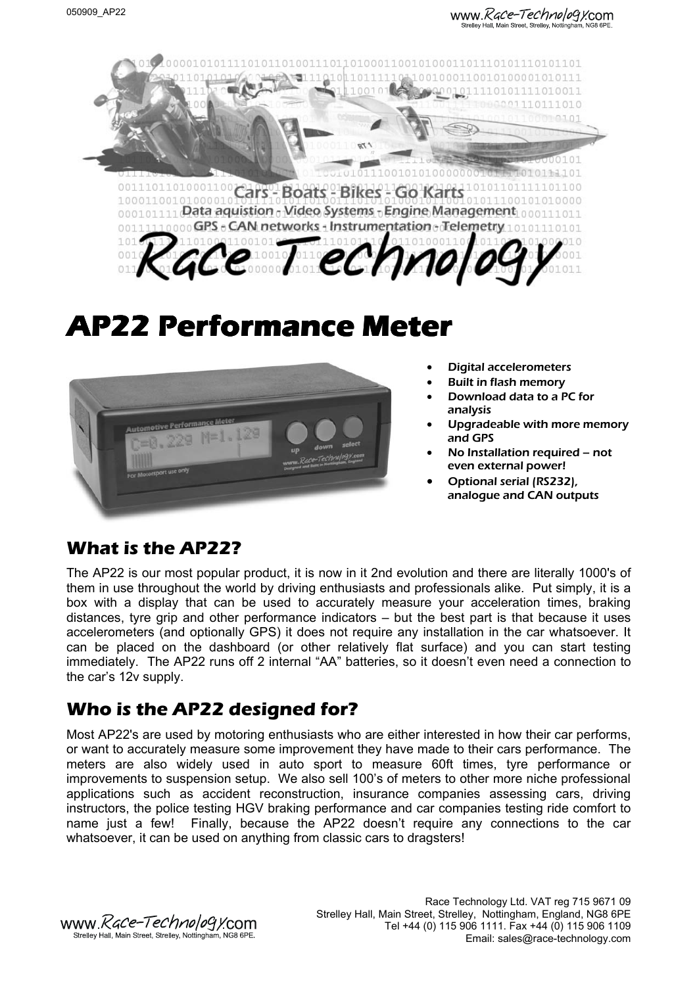www.*Race-Technology*.com -<br>Strelley Hall, Main Street, Strelley, Nottingham



# **AP22 Performance Meter**



- Digital accelerometers
- Built in flash memory
- Download data to a PC for analysis
- Upgradeable with more memory and GPS
- No Installation required not even external power!
- Optional serial (RS232), analogue and CAN outputs

# **What is the AP22?**

The AP22 is our most popular product, it is now in it 2nd evolution and there are literally 1000's of them in use throughout the world by driving enthusiasts and professionals alike. Put simply, it is a box with a display that can be used to accurately measure your acceleration times, braking distances, tyre grip and other performance indicators – but the best part is that because it uses accelerometers (and optionally GPS) it does not require any installation in the car whatsoever. It can be placed on the dashboard (or other relatively flat surface) and you can start testing immediately. The AP22 runs off 2 internal "AA" batteries, so it doesn't even need a connection to the car's 12v supply.

# **Who is the AP22 designed for?**

Most AP22's are used by motoring enthusiasts who are either interested in how their car performs, or want to accurately measure some improvement they have made to their cars performance. The meters are also widely used in auto sport to measure 60ft times, tyre performance or improvements to suspension setup. We also sell 100's of meters to other more niche professional applications such as accident reconstruction, insurance companies assessing cars, driving instructors, the police testing HGV braking performance and car companies testing ride comfort to name just a few! Finally, because the AP22 doesn't require any connections to the car whatsoever, it can be used on anything from classic cars to dragsters!

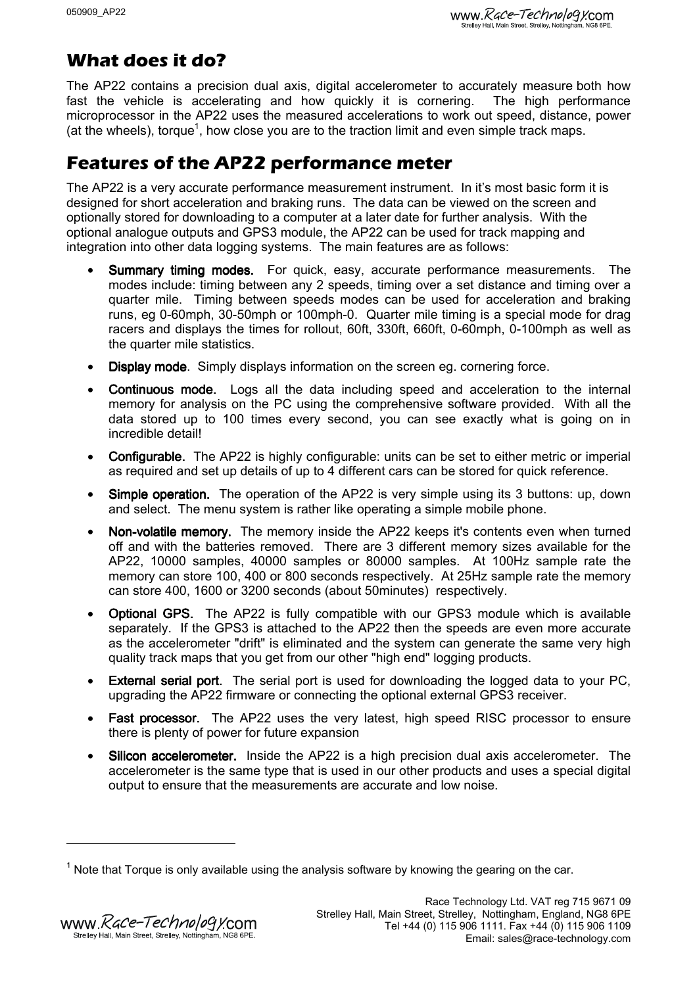# **What does it do?**

The AP22 contains a precision dual axis, digital accelerometer to accurately measure both how fast the vehicle is accelerating and how quickly it is cornering. The high performance microprocessor in the AP22 uses the measured accelerations to work out speed, distance, power (at the wheels), torque<sup>1</sup>, how close you are to the traction limit and even simple track maps.

# **Features of the AP22 performance meter**

The AP22 is a very accurate performance measurement instrument. In it's most basic form it is designed for short acceleration and braking runs. The data can be viewed on the screen and optionally stored for downloading to a computer at a later date for further analysis. With the optional analogue outputs and GPS3 module, the AP22 can be used for track mapping and integration into other data logging systems. The main features are as follows:

- Summary timing modes. For quick, easy, accurate performance measurements. The modes include: timing between any 2 speeds, timing over a set distance and timing over a quarter mile. Timing between speeds modes can be used for acceleration and braking runs, eg 0-60mph, 30-50mph or 100mph-0. Quarter mile timing is a special mode for drag racers and displays the times for rollout, 60ft, 330ft, 660ft, 0-60mph, 0-100mph as well as the quarter mile statistics.
- Display mode. Simply displays information on the screen eg. cornering force.
- Continuous mode. Logs all the data including speed and acceleration to the internal memory for analysis on the PC using the comprehensive software provided. With all the data stored up to 100 times every second, you can see exactly what is going on in incredible detail!
- **Configurable.** The AP22 is highly configurable: units can be set to either metric or imperial as required and set up details of up to 4 different cars can be stored for quick reference.
- Simple operation. The operation of the AP22 is very simple using its 3 buttons: up, down and select. The menu system is rather like operating a simple mobile phone.
- Non-volatile memory. The memory inside the AP22 keeps it's contents even when turned off and with the batteries removed. There are 3 different memory sizes available for the AP22, 10000 samples, 40000 samples or 80000 samples. At 100Hz sample rate the memory can store 100, 400 or 800 seconds respectively. At 25Hz sample rate the memory can store 400, 1600 or 3200 seconds (about 50minutes) respectively.
- Optional GPS. The AP22 is fully compatible with our GPS3 module which is available separately. If the GPS3 is attached to the AP22 then the speeds are even more accurate as the accelerometer "drift" is eliminated and the system can generate the same very high quality track maps that you get from our other "high end" logging products.
- External serial port. The serial port is used for downloading the logged data to your PC. upgrading the AP22 firmware or connecting the optional external GPS3 receiver.
- Fast processor. The AP22 uses the very latest, high speed RISC processor to ensure there is plenty of power for future expansion
- Silicon accelerometer. Inside the AP22 is a high precision dual axis accelerometer. The accelerometer is the same type that is used in our other products and uses a special digital output to ensure that the measurements are accurate and low noise.

 $1$  Note that Torque is only available using the analysis software by knowing the gearing on the car.

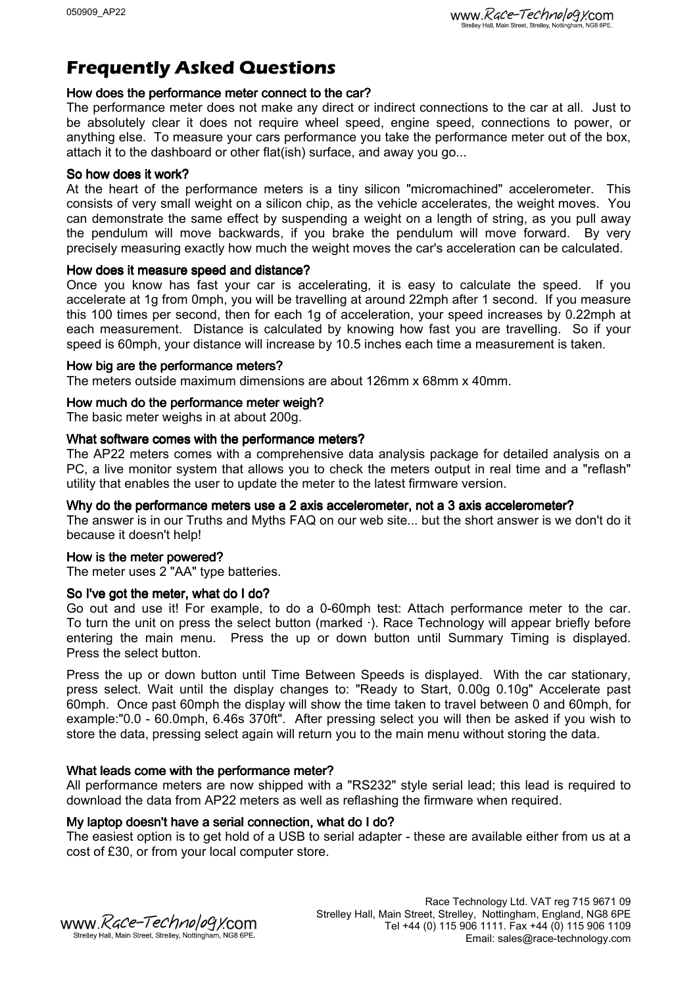# **Frequently Asked Questions**

# How does the performance meter connect to the car?

The performance meter does not make any direct or indirect connections to the car at all. Just to be absolutely clear it does not require wheel speed, engine speed, connections to power, or anything else. To measure your cars performance you take the performance meter out of the box, attach it to the dashboard or other flat(ish) surface, and away you go...

# So how does it work?

At the heart of the performance meters is a tiny silicon "micromachined" accelerometer. This consists of very small weight on a silicon chip, as the vehicle accelerates, the weight moves. You can demonstrate the same effect by suspending a weight on a length of string, as you pull away the pendulum will move backwards, if you brake the pendulum will move forward. By very precisely measuring exactly how much the weight moves the car's acceleration can be calculated.

# How does it measure speed and distance?

Once you know has fast your car is accelerating, it is easy to calculate the speed. If you accelerate at 1g from 0mph, you will be travelling at around 22mph after 1 second. If you measure this 100 times per second, then for each 1g of acceleration, your speed increases by 0.22mph at each measurement. Distance is calculated by knowing how fast you are travelling. So if your speed is 60mph, your distance will increase by 10.5 inches each time a measurement is taken.

#### How big are the performance meters?

The meters outside maximum dimensions are about 126mm x 68mm x 40mm.

# How much do the performance meter weigh?

The basic meter weighs in at about 200g.

# What software comes with the performance meters?

The AP22 meters comes with a comprehensive data analysis package for detailed analysis on a PC, a live monitor system that allows you to check the meters output in real time and a "reflash" utility that enables the user to update the meter to the latest firmware version.

#### Why do the performance meters use a 2 axis accelerometer, not a 3 axis accelerometer?

The answer is in our Truths and Myths FAQ on our web site... but the short answer is we don't do it because it doesn't help!

#### How is the meter powered?

The meter uses 2 "AA" type batteries.

# So I've got the meter, what do I do?

Go out and use it! For example, to do a 0-60mph test: Attach performance meter to the car. To turn the unit on press the select button (marked ·). Race Technology will appear briefly before entering the main menu. Press the up or down button until Summary Timing is displayed. Press the select button.

Press the up or down button until Time Between Speeds is displayed. With the car stationary, press select. Wait until the display changes to: "Ready to Start, 0.00g 0.10g" Accelerate past 60mph. Once past 60mph the display will show the time taken to travel between 0 and 60mph, for example:"0.0 - 60.0mph, 6.46s 370ft". After pressing select you will then be asked if you wish to store the data, pressing select again will return you to the main menu without storing the data.

# What leads come with the performance meter?

All performance meters are now shipped with a "RS232" style serial lead; this lead is required to download the data from AP22 meters as well as reflashing the firmware when required.

# My laptop doesn't have a serial connection, what do I do?

The easiest option is to get hold of a USB to serial adapter - these are available either from us at a cost of £30, or from your local computer store.

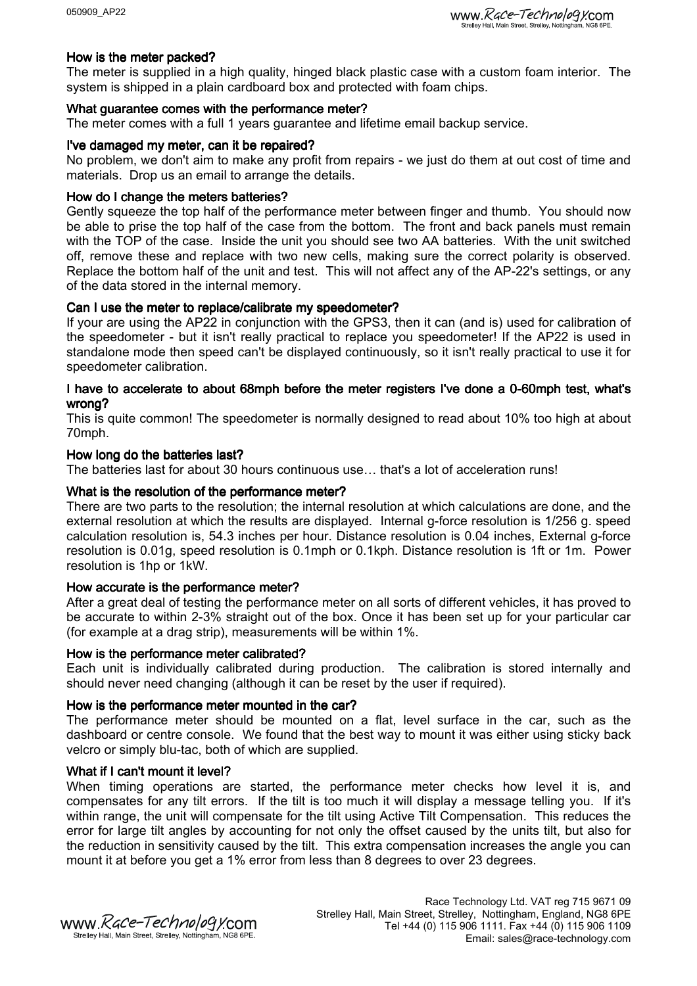# How is the meter packed?

The meter is supplied in a high quality, hinged black plastic case with a custom foam interior. The system is shipped in a plain cardboard box and protected with foam chips.

# What guarantee comes with the performance meter?

The meter comes with a full 1 years guarantee and lifetime email backup service.

# I've damaged my meter, can it be repaired?

No problem, we don't aim to make any profit from repairs - we just do them at out cost of time and materials. Drop us an email to arrange the details.

#### How do I change the meters batteries?

Gently squeeze the top half of the performance meter between finger and thumb. You should now be able to prise the top half of the case from the bottom. The front and back panels must remain with the TOP of the case. Inside the unit you should see two AA batteries. With the unit switched off, remove these and replace with two new cells, making sure the correct polarity is observed. Replace the bottom half of the unit and test. This will not affect any of the AP-22's settings, or any of the data stored in the internal memory.

# Can I use the meter to replace/calibrate my speedometer?

If your are using the AP22 in conjunction with the GPS3, then it can (and is) used for calibration of the speedometer - but it isn't really practical to replace you speedometer! If the AP22 is used in standalone mode then speed can't be displayed continuously, so it isn't really practical to use it for speedometer calibration.

# I have to accelerate to about 68mph before the meter registers I've done a 0-60mph test, what's wrong?

This is quite common! The speedometer is normally designed to read about 10% too high at about 70mph.

#### How long do the batteries last?

The batteries last for about 30 hours continuous use… that's a lot of acceleration runs!

# What is the resolution of the performance meter?

There are two parts to the resolution; the internal resolution at which calculations are done, and the external resolution at which the results are displayed. Internal g-force resolution is 1/256 g. speed calculation resolution is, 54.3 inches per hour. Distance resolution is 0.04 inches, External g-force resolution is 0.01g, speed resolution is 0.1mph or 0.1kph. Distance resolution is 1ft or 1m. Power resolution is 1hp or 1kW.

#### How accurate is the performance meter?

After a great deal of testing the performance meter on all sorts of different vehicles, it has proved to be accurate to within 2-3% straight out of the box. Once it has been set up for your particular car (for example at a drag strip), measurements will be within 1%.

#### How is the performance meter calibrated?

Each unit is individually calibrated during production. The calibration is stored internally and should never need changing (although it can be reset by the user if required).

#### How is the performance meter mounted in the car?

The performance meter should be mounted on a flat, level surface in the car, such as the dashboard or centre console. We found that the best way to mount it was either using sticky back velcro or simply blu-tac, both of which are supplied.

# What if I can't mount it level?

When timing operations are started, the performance meter checks how level it is, and compensates for any tilt errors. If the tilt is too much it will display a message telling you. If it's within range, the unit will compensate for the tilt using Active Tilt Compensation. This reduces the error for large tilt angles by accounting for not only the offset caused by the units tilt, but also for the reduction in sensitivity caused by the tilt. This extra compensation increases the angle you can mount it at before you get a 1% error from less than 8 degrees to over 23 degrees.

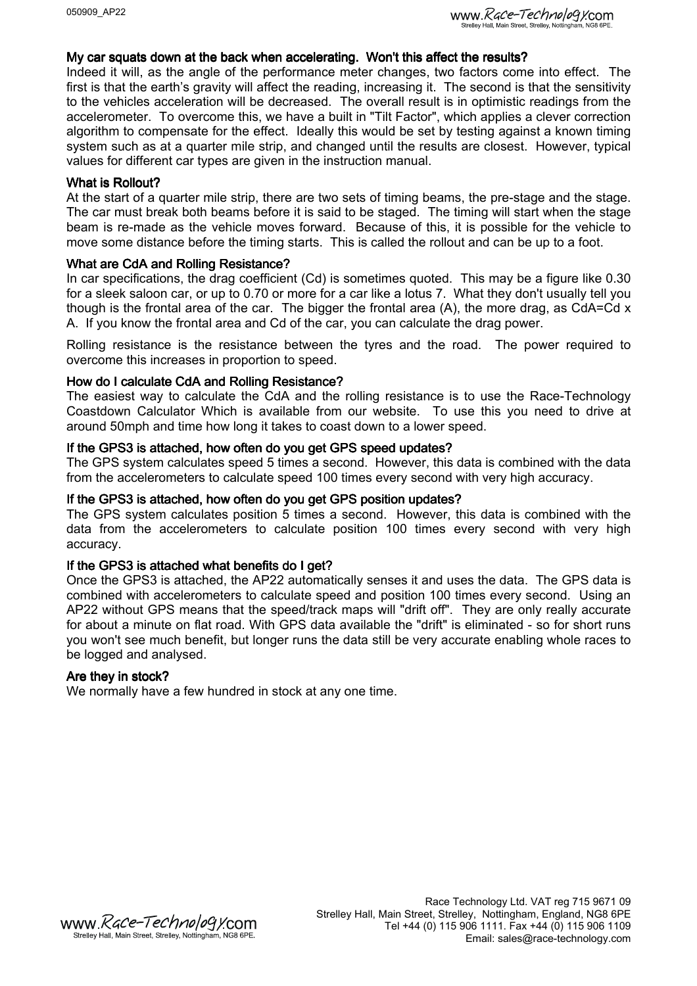#### My car squats down at the back when accelerating. Won't this affect the results?

Indeed it will, as the angle of the performance meter changes, two factors come into effect. The first is that the earth's gravity will affect the reading, increasing it. The second is that the sensitivity to the vehicles acceleration will be decreased. The overall result is in optimistic readings from the accelerometer. To overcome this, we have a built in "Tilt Factor", which applies a clever correction algorithm to compensate for the effect. Ideally this would be set by testing against a known timing system such as at a quarter mile strip, and changed until the results are closest. However, typical values for different car types are given in the instruction manual.

#### What is Rollout?

At the start of a quarter mile strip, there are two sets of timing beams, the pre-stage and the stage. The car must break both beams before it is said to be staged. The timing will start when the stage beam is re-made as the vehicle moves forward. Because of this, it is possible for the vehicle to move some distance before the timing starts. This is called the rollout and can be up to a foot.

#### What are CdA and Rolling Resistance?

In car specifications, the drag coefficient (Cd) is sometimes quoted. This may be a figure like 0.30 for a sleek saloon car, or up to 0.70 or more for a car like a lotus 7. What they don't usually tell you though is the frontal area of the car. The bigger the frontal area  $(A)$ , the more drag, as CdA=Cd  $x$ A. If you know the frontal area and Cd of the car, you can calculate the drag power.

Rolling resistance is the resistance between the tyres and the road. The power required to overcome this increases in proportion to speed.

#### How do I calculate CdA and Rolling Resistance?

The easiest way to calculate the CdA and the rolling resistance is to use the Race-Technology Coastdown Calculator Which is available from our website. To use this you need to drive at around 50mph and time how long it takes to coast down to a lower speed.

#### If the GPS3 is attached, how often do you get GPS speed updates?

The GPS system calculates speed 5 times a second. However, this data is combined with the data from the accelerometers to calculate speed 100 times every second with very high accuracy.

#### If the GPS3 is attached, how often do you get GPS position updates?

The GPS system calculates position 5 times a second. However, this data is combined with the data from the accelerometers to calculate position 100 times every second with very high accuracy.

#### If the GPS3 is attached what benefits do I get?

Once the GPS3 is attached, the AP22 automatically senses it and uses the data. The GPS data is combined with accelerometers to calculate speed and position 100 times every second. Using an AP22 without GPS means that the speed/track maps will "drift off". They are only really accurate for about a minute on flat road. With GPS data available the "drift" is eliminated - so for short runs you won't see much benefit, but longer runs the data still be very accurate enabling whole races to be logged and analysed.

#### Are they in stock?

We normally have a few hundred in stock at any one time.